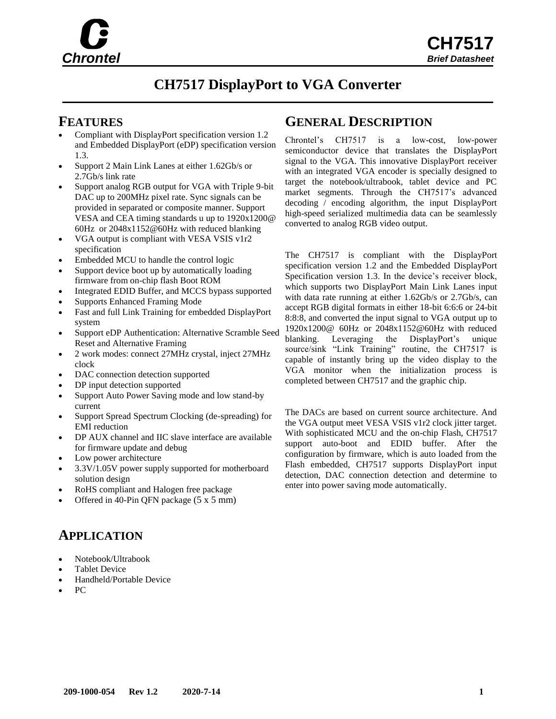

# **CH7517 DisplayPort to VGA Converter**

- Compliant with DisplayPort specification version 1.2 and Embedded DisplayPort (eDP) specification version 1.3.
- Support 2 Main Link Lanes at either 1.62Gb/s or 2.7Gb/s link rate
- Support analog RGB output for VGA with Triple 9-bit DAC up to 200MHz pixel rate. Sync signals can be provided in separated or composite manner. Support VESA and CEA timing standards u up to 1920x1200@ 60Hz or 2048x1152@60Hz with reduced blanking
- VGA output is compliant with VESA VSIS v1r2 specification
- Embedded MCU to handle the control logic
- Support device boot up by automatically loading firmware from on-chip flash Boot ROM
- Integrated EDID Buffer, and MCCS bypass supported
- Supports Enhanced Framing Mode
- Fast and full Link Training for embedded DisplayPort system
- Support eDP Authentication: Alternative Scramble Seed Reset and Alternative Framing
- 2 work modes: connect 27MHz crystal, inject 27MHz clock
- DAC connection detection supported
- DP input detection supported
- Support Auto Power Saving mode and low stand-by current
- Support Spread Spectrum Clocking (de-spreading) for EMI reduction
- DP AUX channel and IIC slave interface are available for firmware update and debug
- Low power architecture
- 3.3V/1.05V power supply supported for motherboard solution design
- RoHS compliant and Halogen free package
- Offered in 40-Pin QFN package (5 x 5 mm)

## **APPLICATION**

- Notebook/Ultrabook
- Tablet Device
- Handheld/Portable Device
- PC

### **FEATURES GENERAL DESCRIPTION**

Chrontel's CH7517 is a low-cost, low-power semiconductor device that translates the DisplayPort signal to the VGA. This innovative DisplayPort receiver with an integrated VGA encoder is specially designed to target the notebook/ultrabook, tablet device and PC market segments. Through the CH7517's advanced decoding / encoding algorithm, the input DisplayPort high-speed serialized multimedia data can be seamlessly converted to analog RGB video output.

The CH7517 is compliant with the DisplayPort specification version 1.2 and the Embedded DisplayPort Specification version 1.3. In the device's receiver block, which supports two DisplayPort Main Link Lanes input with data rate running at either 1.62Gb/s or 2.7Gb/s, can accept RGB digital formats in either 18-bit 6:6:6 or 24-bit 8:8:8, and converted the input signal to VGA output up to 1920x1200@ 60Hz or 2048x1152@60Hz with reduced blanking. Leveraging the DisplayPort's unique source/sink "Link Training" routine, the CH7517 is capable of instantly bring up the video display to the VGA monitor when the initialization process is completed between CH7517 and the graphic chip.

The DACs are based on current source architecture. And the VGA output meet VESA VSIS v1r2 clock jitter target. With sophisticated MCU and the on-chip Flash, CH7517 support auto-boot and EDID buffer. After the configuration by firmware, which is auto loaded from the Flash embedded, CH7517 supports DisplayPort input detection, DAC connection detection and determine to enter into power saving mode automatically.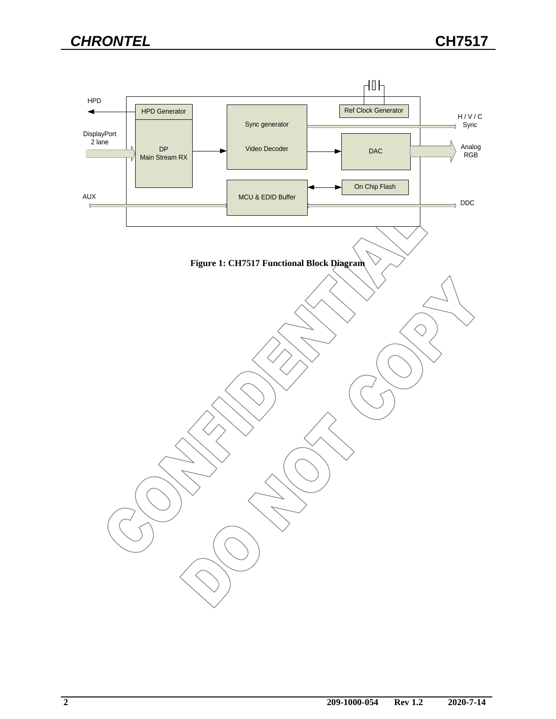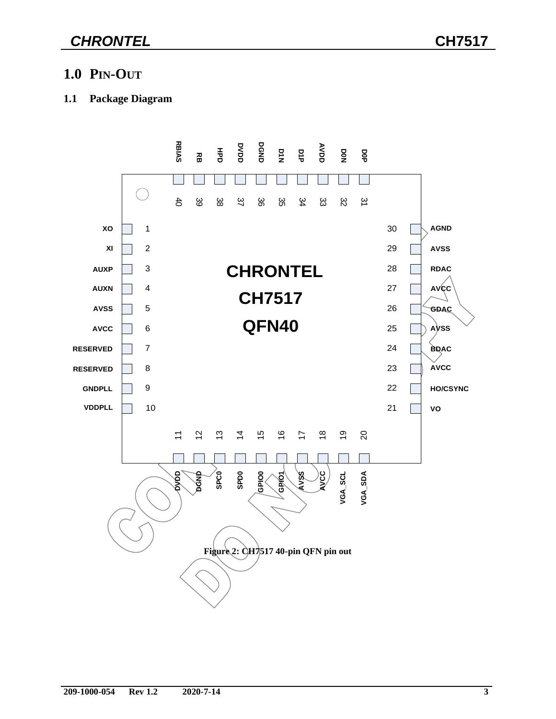# *CHRONTEL* **CH7517**

## **1.0 PIN-OUT**

#### **1.1 Package Diagram**

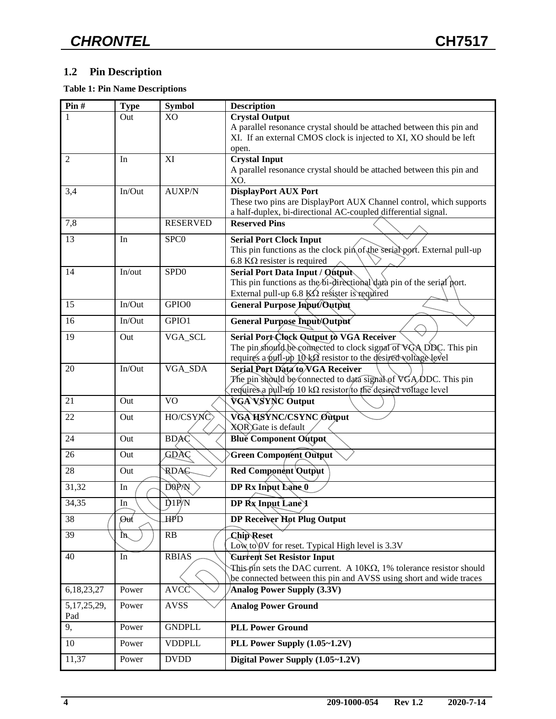### **1.2 Pin Description**

**Table 1: Pin Name Descriptions**

| Pin#           | <b>Type</b> | <b>Symbol</b>      | <b>Description</b>                                                                    |  |
|----------------|-------------|--------------------|---------------------------------------------------------------------------------------|--|
|                | Out         | X <sub>O</sub>     | <b>Crystal Output</b>                                                                 |  |
|                |             |                    | A parallel resonance crystal should be attached between this pin and                  |  |
|                |             |                    | XI. If an external CMOS clock is injected to XI, XO should be left                    |  |
| 2              | In          | XI                 | open.<br><b>Crystal Input</b>                                                         |  |
|                |             |                    | A parallel resonance crystal should be attached between this pin and                  |  |
|                |             |                    | XO.                                                                                   |  |
| 3,4            | In/Out      | <b>AUXP/N</b>      | <b>DisplayPort AUX Port</b>                                                           |  |
|                |             |                    | These two pins are DisplayPort AUX Channel control, which supports                    |  |
|                |             | <b>RESERVED</b>    | a half-duplex, bi-directional AC-coupled differential signal.<br><b>Reserved Pins</b> |  |
| 7,8            |             |                    |                                                                                       |  |
| 13             | In          | SPC <sub>0</sub>   | <b>Serial Port Clock Input</b>                                                        |  |
|                |             |                    | This pin functions as the clock pin of the serial port. External pull-up              |  |
|                | In/out      | SPD <sub>0</sub>   | 6.8 $K\Omega$ resister is required<br>Serial Port Data Input / Qutput                 |  |
| 14             |             |                    | This pin functions as the bi-directional data pin of the serial port.                 |  |
|                |             |                    | External pull-up 6.8 $K\Omega$ resister is required                                   |  |
| 15             | In/Out      | GPIO0              | General Purpose Input/Output                                                          |  |
| 16             | In/Out      | GPIO1              | General Purpose Input/Output                                                          |  |
| 19             |             |                    | Serial Port Clock Quiput to VGA Receiver                                              |  |
|                | Out         | VGA_SCL            | The pin should be connected to clock signal of VGA DDC. This pin                      |  |
|                |             |                    | requires a pull-up 10 kØ resistor to the desired voltage level                        |  |
| 20             | In/Out      | VGA_SDA            | Serial Port Data to VGA Receiver                                                      |  |
|                |             |                    | The pin should be connected to data signal of VGA/DDC. This pin                       |  |
|                |             |                    | requires a pull-up 10 k $\Omega$ resistor to the desired voltage level                |  |
| 21             | Out         | <b>VO</b>          | VGA VSYNC Output                                                                      |  |
| 22             | Out         | HO/CSYNC           | VGA HSYNC/CSYNC Output                                                                |  |
| 24             | Out         | <b>BDAC</b>        | XQR Gate is default<br><b>Blue Component Output</b>                                   |  |
|                |             |                    |                                                                                       |  |
| 26             | Out         | GDAC               | Green Component Output                                                                |  |
| 28             | Out         | RDAG               | <b>Red Component Qutput</b>                                                           |  |
| 31,32          | In          | <b>DOPAN</b>       | DP Rx Input Lane 0                                                                    |  |
| 34,35          | $\rm{In}$   | $\overline{D1P/N}$ | DP Rx Input Lane 1                                                                    |  |
| 38             | Øut         | HPD                | DP Receiver Hot Plug Output                                                           |  |
| 39             | ŢV          | RB                 | <b>Chip Reset</b><br>Low to 0V for reset. Typical High level is 3.3V                  |  |
| 40             | In          | <b>RBIAS</b>       | <b>Current Set Resistor Input</b>                                                     |  |
|                |             |                    | This pin sets the DAC current. A $10K\Omega$ , 1% tolerance resistor should           |  |
|                |             |                    | be connected between this pin and AVSS using short and wide traces                    |  |
| 6,18,23,27     | Power       | <b>AVCC</b>        | Analog Power Supply (3.3V)                                                            |  |
| 5, 17, 25, 29, | Power       | <b>AVSS</b>        | <b>Analog Power Ground</b>                                                            |  |
| Pad<br>9,      | Power       | <b>GNDPLL</b>      | <b>PLL Power Ground</b>                                                               |  |
|                |             |                    |                                                                                       |  |
| 10             | Power       | <b>VDDPLL</b>      | PLL Power Supply (1.05~1.2V)                                                          |  |
| 11,37          | Power       | <b>DVDD</b>        | Digital Power Supply (1.05~1.2V)                                                      |  |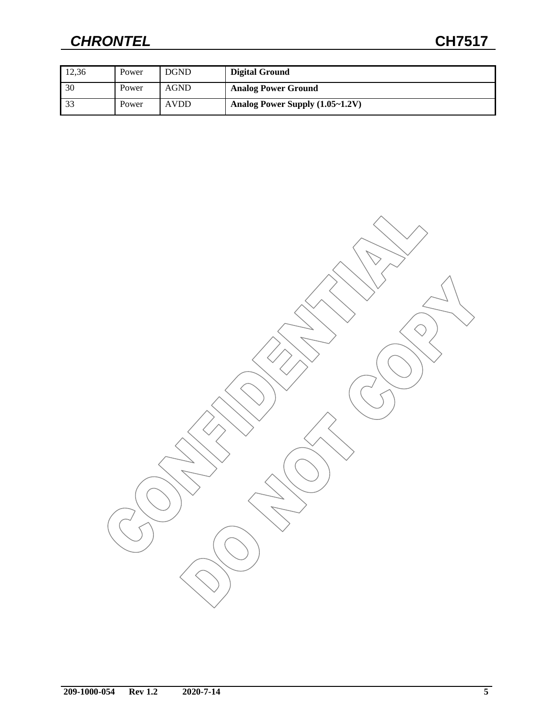# *CHRONTEL* **CH7517**

| 12.36 | Power | <b>DGND</b> | Digital Ground                  |
|-------|-------|-------------|---------------------------------|
| 30    | Power | <b>AGND</b> | <b>Analog Power Ground</b>      |
| -33   | Power | <b>AVDD</b> | Analog Power Supply (1.05~1.2V) |

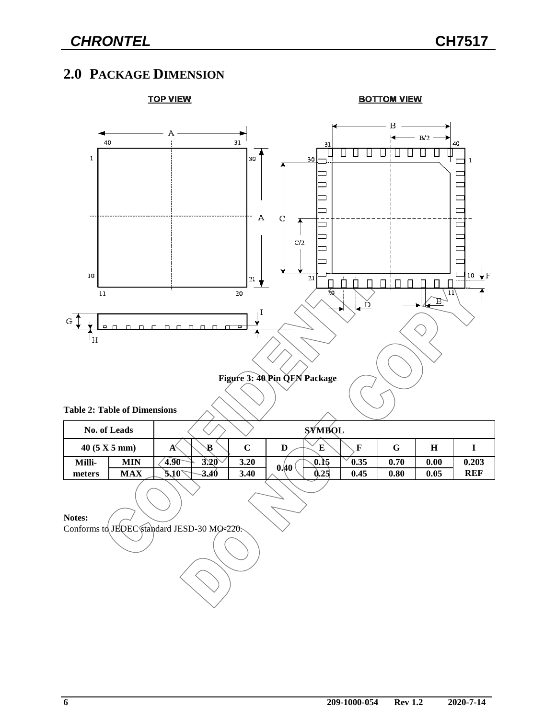## **2.0 PACKAGE DIMENSION**